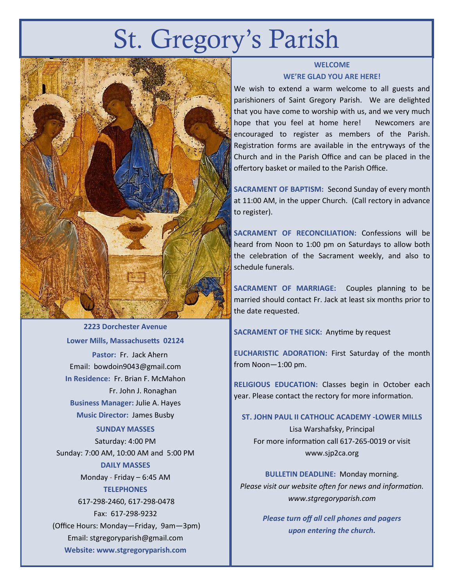# St. Gregory's Parish



**2223 Dorchester Avenue Lower Mills, Massachusetts 02124 Pastor:** Fr. Jack Ahern Email: bowdoin9043@gmail.com **In Residence:** Fr. Brian F. McMahon Fr. John J. Ronaghan **Business Manager:** Julie A. Hayes **Music Director:** James Busby **SUNDAY MASSES** Saturday: 4:00 PM Sunday: 7:00 AM, 10:00 AM and 5:00 PM **DAILY MASSES** Monday - Friday – 6:45 AM **TELEPHONES** 617-298-2460, 617-298-0478 Fax: 617-298-9232 (Office Hours: Monday—Friday, 9am—3pm) Email: stgregoryparish@gmail.com **Website: www.stgregoryparish.com**

### **WELCOME WE'RE GLAD YOU ARE HERE!**

We wish to extend a warm welcome to all guests and parishioners of Saint Gregory Parish. We are delighted that you have come to worship with us, and we very much hope that you feel at home here! Newcomers are encouraged to register as members of the Parish. Registration forms are available in the entryways of the Church and in the Parish Office and can be placed in the offertory basket or mailed to the Parish Office.

**SACRAMENT OF BAPTISM:** Second Sunday of every month at 11:00 AM, in the upper Church. (Call rectory in advance to register).

**SACRAMENT OF RECONCILIATION:** Confessions will be heard from Noon to 1:00 pm on Saturdays to allow both the celebration of the Sacrament weekly, and also to schedule funerals.

**SACRAMENT OF MARRIAGE:** Couples planning to be married should contact Fr. Jack at least six months prior to the date requested.

**SACRAMENT OF THE SICK:** Anytime by request

**EUCHARISTIC ADORATION:** First Saturday of the month from Noon—1:00 pm.

**RELIGIOUS EDUCATION:** Classes begin in October each year. Please contact the rectory for more information.

**ST. JOHN PAUL II CATHOLIC ACADEMY -LOWER MILLS**

Lisa Warshafsky, Principal For more information call 617-265-0019 or visit www.sjp2ca.org

**BULLETIN DEADLINE:** Monday morning. *Please visit our website often for news and information. www.stgregoryparish.com*

> *Please turn off all cell phones and pagers upon entering the church.*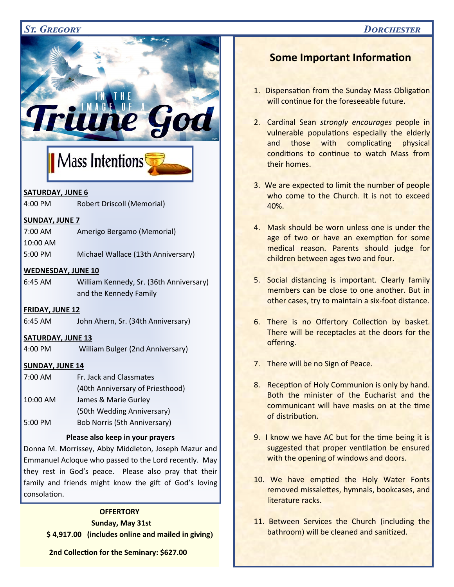### *St. Gregory Dorchester*



Donna M. Morrissey, Abby Middleton, Joseph Mazur and Emmanuel Acloque who passed to the Lord recently. May they rest in God's peace. Please also pray that their family and friends might know the gift of God's loving consolation.

#### **OFFERTORY**

#### **Sunday, May 31st**

 **\$ 4,917.00 (includes online and mailed in giving)**

**2nd Collection for the Seminary: \$627.00**

## **Some Important Information**

- 1. Dispensation from the Sunday Mass Obligation will continue for the foreseeable future.
- 2. Cardinal Sean *strongly encourages* people in vulnerable populations especially the elderly and those with complicating physical conditions to continue to watch Mass from their homes.
- 3. We are expected to limit the number of people who come to the Church. It is not to exceed 40%.
- 4. Mask should be worn unless one is under the age of two or have an exemption for some medical reason. Parents should judge for children between ages two and four.
- 5. Social distancing is important. Clearly family members can be close to one another. But in other cases, try to maintain a six-foot distance.
- 6. There is no Offertory Collection by basket. There will be receptacles at the doors for the offering.
- 7. There will be no Sign of Peace.
- 8. Reception of Holy Communion is only by hand. Both the minister of the Eucharist and the communicant will have masks on at the time of distribution.
- 9. I know we have AC but for the time being it is suggested that proper ventilation be ensured with the opening of windows and doors.
- **Supermarket Gift Cards** and More  $\frac{1}{2}$ 10. We have emptied the Holy Water Fonts removed missalettes, hymnals, bookcases, and literature racks.
- **If any 11. Between Services the Church (including the** *pathroom) will be cleaned and sanitized.*